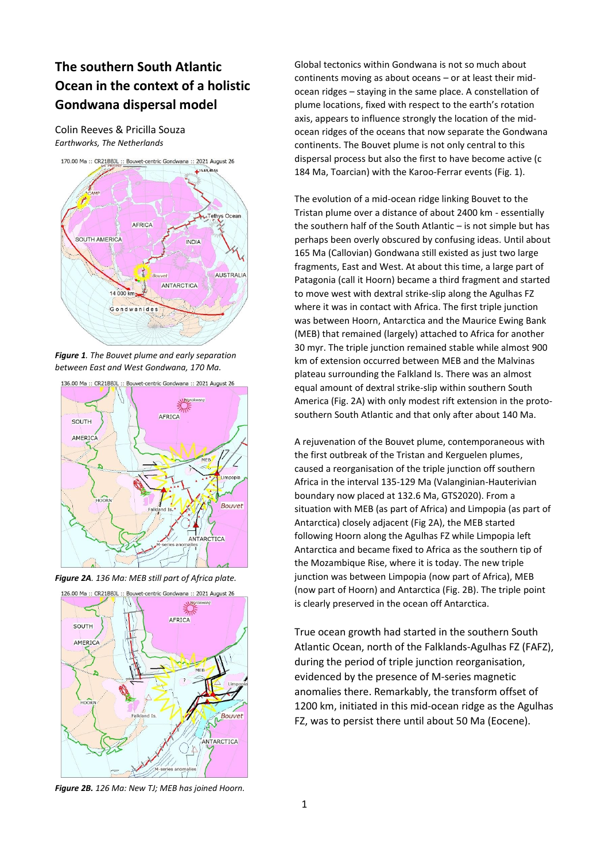## **The southern South Atlantic Ocean in the context of a holistic Gondwana dispersal model**

Colin Reeves & Pricilla Souza *Earthworks, The Netherlands*



*Figure 1. The Bouvet plume and early separation between East and West Gondwana, 170 Ma.*



*Figure 2A. 136 Ma: MEB still part of Africa plate.*



*Figure 2B. 126 Ma: New TJ; MEB has joined Hoorn.*

Global tectonics within Gondwana is not so much about continents moving as about oceans – or at least their midocean ridges – staying in the same place. A constellation of plume locations, fixed with respect to the earth's rotation axis, appears to influence strongly the location of the midocean ridges of the oceans that now separate the Gondwana continents. The Bouvet plume is not only central to this dispersal process but also the first to have become active (c 184 Ma, Toarcian) with the Karoo-Ferrar events (Fig. 1).

The evolution of a mid-ocean ridge linking Bouvet to the Tristan plume over a distance of about 2400 km - essentially the southern half of the South Atlantic – is not simple but has perhaps been overly obscured by confusing ideas. Until about 165 Ma (Callovian) Gondwana still existed as just two large fragments, East and West. At about this time, a large part of Patagonia (call it Hoorn) became a third fragment and started to move west with dextral strike-slip along the Agulhas FZ where it was in contact with Africa. The first triple junction was between Hoorn, Antarctica and the Maurice Ewing Bank (MEB) that remained (largely) attached to Africa for another 30 myr. The triple junction remained stable while almost 900 km of extension occurred between MEB and the Malvinas plateau surrounding the Falkland Is. There was an almost equal amount of dextral strike-slip within southern South America (Fig. 2A) with only modest rift extension in the protosouthern South Atlantic and that only after about 140 Ma.

A rejuvenation of the Bouvet plume, contemporaneous with the first outbreak of the Tristan and Kerguelen plumes, caused a reorganisation of the triple junction off southern Africa in the interval 135-129 Ma (Valanginian-Hauterivian boundary now placed at 132.6 Ma, GTS2020). From a situation with MEB (as part of Africa) and Limpopia (as part of Antarctica) closely adjacent (Fig 2A), the MEB started following Hoorn along the Agulhas FZ while Limpopia left Antarctica and became fixed to Africa as the southern tip of the Mozambique Rise, where it is today. The new triple junction was between Limpopia (now part of Africa), MEB (now part of Hoorn) and Antarctica (Fig. 2B). The triple point is clearly preserved in the ocean off Antarctica.

True ocean growth had started in the southern South Atlantic Ocean, north of the Falklands-Agulhas FZ (FAFZ), during the period of triple junction reorganisation, evidenced by the presence of M-series magnetic anomalies there. Remarkably, the transform offset of 1200 km, initiated in this mid-ocean ridge as the Agulhas FZ, was to persist there until about 50 Ma (Eocene).